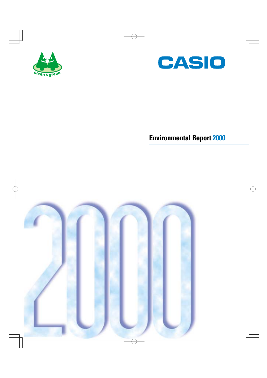



# **Environmental Report 2000**

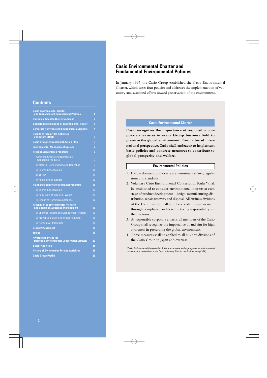### **Casio Environmental Charter and Fundamental Environmental Policies**

In January 1993, the Casio Group established the Casio Environmental Charter, which states four policies and addresses the implementation of voluntary and sustained efforts toward preservation of the environment.

### **Contents**

| <b>Casio Environmental Charter</b>                                                  |                |
|-------------------------------------------------------------------------------------|----------------|
| and Fundamental Environmental Policies                                              | 1              |
| <b>Our Commitment to the Environment</b>                                            | 2              |
| <b>Background and Scope of Environmental Report</b>                                 | 3              |
| <b>Corporate Activities and Environmental Aspects</b>                               | 4              |
| <b>Results of Fiscal 1999 Activities</b><br>and Future Efforts                      | 5              |
| <b>Casio Group Environmental Action Plan</b>                                        | 6              |
| <b>Environmental Management System</b>                                              | 7              |
| <b>Product Stewardship Programs</b>                                                 | 9              |
| <b>Aiming to Create Environmentally</b><br><b>Conscious Products</b>                | 9              |
| 1) Material Conservation and Recycling                                              | $\overline{0}$ |
| 2) Energy Conservation                                                              | 11             |
| 3) Safety                                                                           | 11             |
| 4) Packaging Materials                                                              | 12             |
| <b>Plant and Facility Environmental Programs</b>                                    | 13             |
| 1) Energy Conservation                                                              | 13             |
| 2) Reduction of Industrial Waste                                                    | 15             |
| 3) Disuse of Harmful Substances                                                     | 17             |
| <b>Prevention of Environmental Pollution</b><br>and Chemical Substance Management   | 17             |
| 1) Chemical Substance Management (PRTR)                                             | 17             |
| 2) Prevention of Air and Water Pollution                                            | 18             |
| 3) Harmful Air Pollutants                                                           | 18             |
| <b>Green Procurement</b>                                                            | 19             |
| <b>Topics</b>                                                                       | 19             |
| <b>Awards and Prizes for</b><br><b>Domestic Environmental Conservation Activity</b> | 20             |
| <b>Social Activities</b>                                                            | 21             |
| <b>History of Environment-Related Activities</b>                                    | 21             |
| <b>Casio Group Profile</b>                                                          | 22             |

#### **Casio Environmental Charter**

**Casio recognizes the importance of responsible corporate measures in every Group business field to preserve the global environment. From a broad international perspective, Casio shall endeavor to implement basic policies and concrete measures to contribute to global prosperity and welfare.**

#### **Environmental Policies**

- 1. Follow domestic and overseas environmental laws, regulations and standards.
- 2. Voluntary Casio Environmental Conservation Rules\* shall be established to consider environmental interests at each stage of product development—design, manufacturing, distribution, repair, recovery and disposal. All business divisions of the Casio Group shall aim for constant improvement through compliance audits while taking responsibility for their actions.
- 3. As responsible corporate citizens, all members of the Casio Group shall recognize the importance of and aim for high awareness in preserving the global environment.
- 4. These measures shall be applied to all business divisions of the Casio Group in Japan and overseas.

\*Casio Environmental Conservation Rules are concrete action programs for environmental conservation determined in the Casio Voluntary Plan for the Environment (CVPE).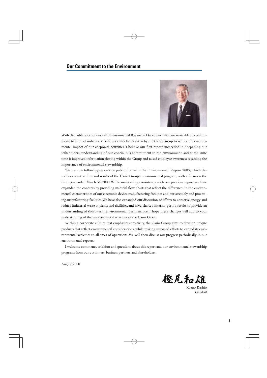

With the publication of our first Environmental Report in December 1999, we were able to communicate to a broad audience specific measures being taken by the Casio Group to reduce the environmental impact of our corporate activities. I believe our first report succeeded in deepening our stakeholders' understanding of our continuous commitment to the environment, and at the same time it improved information sharing within the Group and raised employee awareness regarding the importance of environmental stewardship.

We are now following up on that publication with the Environmental Report 2000, which describes recent actions and results of the Casio Group's environmental program, with a focus on the fiscal year ended March 31, 2000. While maintaining consistency with our previous report, we have expanded the contents by providing material flow charts that reflect the differences in the environmental characteristics of our electronic device manufacturing facilities and our assembly and processing manufacturing facilities. We have also expanded our discussion of efforts to conserve energy and reduce industrial waste at plants and facilities, and have charted interim-period results to provide an understanding of short-term environmental performance. I hope these changes will add to your understanding of the environmental activities of the Casio Group.

Within a corporate culture that emphasizes creativity, the Casio Group aims to develop unique products that reflect environmental considerations, while making sustained efforts to extend its environmental activities to all areas of operations. We will then discuss our progress periodically in our environmental reports.

I welcome comments, criticism and questions about this report and our environmental stewardship programs from our customers, business partners and shareholders.

August 2000

橙尾和雄

Kazuo Kashio *President*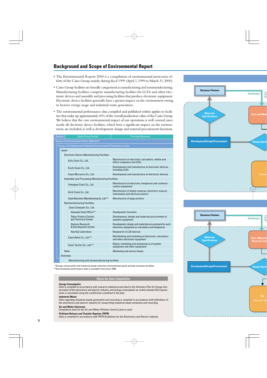### **Background and Scope of Environmental Report**

- The Environmental Report 2000 is a compilation of environmental protection efforts of the Casio Group, mainly during fiscal 1999 (April 1, 1999 to March 31, 2000).
- Casio Group facilities are broadly categorized as manufacturing and nonmanufacturing. Manufacturing facilities comprise manufacturing facilities for LCDs and other electronic devices and assembly and processing facilities that produce electronic equipment. Electronic device facilities generally have a greater impact on the environment owing to heavier energy usage and industrial waste generation.
- The environmental performance data compiled and published within applies to facilities that make up approximately 60% of the overall production value of the Casio Group. We believe that the core environmental impact of our operations is well covered, since nearly all electronic device facilities, which have a significant impact on the environment, are included, as well as development, design and material procurement functions.

| <b>Domain</b>                                                  | <b>Casio Group Facility</b>                          | <b>Principal Business</b>                                                                                    |  |  |  |  |  |
|----------------------------------------------------------------|------------------------------------------------------|--------------------------------------------------------------------------------------------------------------|--|--|--|--|--|
| Scope of Environmental Action Objective*                       |                                                      |                                                                                                              |  |  |  |  |  |
| Scope of Compiled and Published Environmental Performance Data |                                                      |                                                                                                              |  |  |  |  |  |
| Japan                                                          |                                                      |                                                                                                              |  |  |  |  |  |
|                                                                | <b>Electronic Device Manufacturing Facilities</b>    |                                                                                                              |  |  |  |  |  |
|                                                                | Kofu Casio Co., Ltd.                                 | Manufacture of electronic calculators, mobile and<br>office computers and LCDs                               |  |  |  |  |  |
|                                                                | Kochi Casio Co., Ltd.                                | Development and manufacture of electronic devices<br>including LCDs                                          |  |  |  |  |  |
|                                                                | Casio Micronics Co., Ltd.                            | Development and manufacture of electronic devices                                                            |  |  |  |  |  |
|                                                                | Assembly and Processing Manufacturing Facilities     |                                                                                                              |  |  |  |  |  |
|                                                                | Yamagata Casio Co., Ltd.                             | Manufacture of electronic timepieces and communi-<br>cations equipment                                       |  |  |  |  |  |
|                                                                | Aichi Casio Co., Ltd.                                | Manufacture of digital cameras, electronic musical<br>instruments and word processors                        |  |  |  |  |  |
|                                                                | Casio Electronic Manufacturing Co., Ltd.**           | Manufacture of page printers                                                                                 |  |  |  |  |  |
|                                                                | Nonmanufacturing Facilities                          |                                                                                                              |  |  |  |  |  |
|                                                                | Casio Computer Co., Ltd.                             |                                                                                                              |  |  |  |  |  |
|                                                                | Hatsudai Head Office**                               | <b>Headquarter functions</b>                                                                                 |  |  |  |  |  |
|                                                                | <b>Tokyo Product Control</b><br>and Technical Center | Development, design and materials procurement of<br>systems equipment                                        |  |  |  |  |  |
|                                                                | Hamura Research<br>& Development Center              | Development, design and materials procurement for such<br>electronic equipment as calculators and timepieces |  |  |  |  |  |
|                                                                | Hachioji Laboratory                                  | Reasearch in LCD devices                                                                                     |  |  |  |  |  |
|                                                                | Casio Refre Co., Ltd.**                              | Refurbishing and marketing of electronic calculators<br>and other electronic equipment                       |  |  |  |  |  |
| Casio Techno Co., Ltd.**                                       |                                                      | Repair, marketing and maintenance of system<br>equipment and other equipment                                 |  |  |  |  |  |
| Other<br>Marketing and service bases                           |                                                      |                                                                                                              |  |  |  |  |  |
|                                                                | Overseas                                             |                                                                                                              |  |  |  |  |  |
| Manufacturing and nonmanufacturing facilities                  |                                                      |                                                                                                              |  |  |  |  |  |

\*Energy conservation and industrial waste reduction environmental goals exclude overseas facilities. \*\*Environmental performance data is available from fiscal 1998.

#### **About the Data Compilation**

#### **Energy Consumption**

Data is compiled in accordance with research methods prescribed in the Voluntary Plan for Energy Conservation of the electronics and electric industry, and energy consumption as carbon dioxide (CO2) equivalents is calculated using the coefficients contained in the plan.

#### **Industrial Waste**

Data regarding industrial waste generation and recycling is compiled in accordance with definitions of the electronics and electric industry for researching industrial waste emissions and recycling.

**Air and Water Emissions** Compliance data for the Air and Water Pollution Control Laws is used.

#### **Pollutant Release and Transfer Register (PRTR)**

Data is compiled in accordance with PRTR Guidelines for the Electronics and Electric Industry.



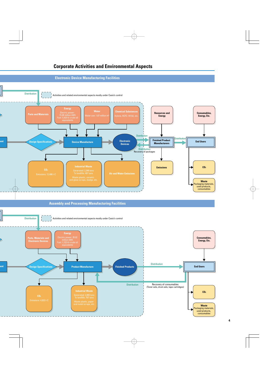



**Assembly and Processing Manufacturing Facilities**

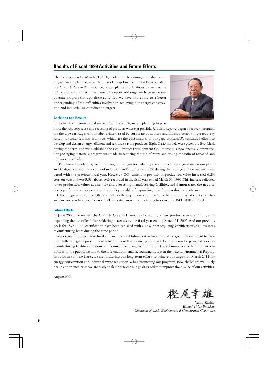### **Results of Fiscal 1999 Activities and Future Efforts**

The fiscal year ended March 31, 2000, marked the beginning of medium- and long-term efforts to achieve the Casio Group Environmental Targets, called the Clean & Green 21 Initiative, at our plants and facilities, as well as the publication of our first Environmental Report. Although we have made important progress through these activities, we have also come to a better understanding of the difficulties involved in achieving our energy conservation and industrial waste reduction targets.



#### **Activities and Results**

To reduce the environmental impact of our products, we are planning to pro-

mote the recovery, reuse and recycling of products wherever possible. As a first step, we began a recovery program for the tape cartridges of our label printers used by corporate customers, and finished establishing a recovery system for toner sets and drum sets, which are the consumables of our page printers. We continued efforts to develop and design energy-efficient and resource-saving products. Eight Casio models were given the Eco Mark during the term, and we established the Eco-Product Development Committee as a new Special Committee. For packaging materials, progress was made in reducing the use of resins and raising the ratio of recycled and nonwood materials.

We achieved steady progress in realizing our targets for reducing the industrial waste generated at our plants and facilities, cutting the volume of industrial landfill waste by 35.6% during the fiscal year under review compared with the previous fiscal year. However, CO2 emissions per unit of production value increased 6.2% year-on-year and was 5.3% above levels recorded in the fiscal year ended March 31, 1991. This increase reflected lower production values at assembly and processing manufacturing facilities, and demonstrates the need to develop a flexible energy conservation policy capable of responding to shifting production patterns.

Other progress made during the year includes the acquisition of ISO 14001 certification at three domestic facilities and two overseas facilities. As a result, all domestic Group manufacturing bases are now ISO 14001 certified.

#### **Future Efforts**

In June 2000, we revised the Clean & Green 21 Initiative by adding a new product stewardship target of expanding the use of lead-free soldering materials by the fiscal year ending March 31, 2002. And our previous goals for ISO 14001 certification have been replaced with a new one: acquiring certification at all overseas manufacturing bases during the same period.

Major goals in the current fiscal year include establishing a standards manual for green procurement to promote full-scale green procurement activities, as well as acquiring ISO 14001 certification for principal overseas manufacturing facilities and domestic nonmanufacturing facilities in the Casio Group. For better communications with the public, we aim to disclose environmental accounting figures in the next Environmental Report. In addition to these issues, we are furthering our long-term efforts to achieve our targets by March 2011 for energy conservation and industrial waste reduction. While promoting our programs, new challenges will likely occur, and in such cases we are ready to flexibly revise our goals in order to improve the quality of our activities.

August 2000

堅犀幸雄

Yukio Kashio *Executive Vice President Chairman of Casio Environmental Conservation Committee*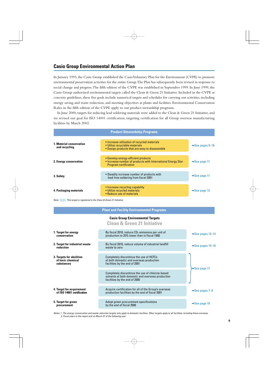### **Casio Group Environmental Action Plan**

In January 1993, the Casio Group established the Casio Voluntary Plan for the Environment (CVPE) to promote environmental preservation activities for the entire Group. The Plan has subsequently been revised in response to social change and progress. The fifth edition of the CVPE was established in September 1999. In June 1999, the Casio Group authorized environmental targets called the Clean & Green 21 Initiative. Included in the CVPE as concrete guidelines, these five goals include numerical targets and schedules for carrying out activities, including energy saving and waste reduction, and meeting objectives at plants and facilities. Environmental Conservation Rules in the fifth edition of the CVPE apply to our product stewardship programs.

In June 2000, targets for reducing lead soldering materials were added to the Clean & Green 21 Initiative, and we revised our goal for ISO 14001 certification, targeting certification for all Group overseas manufacturing facilities by March 2002.

| <b>Product Stewardship Programs</b>              |                                                                                                                                     |                              |  |  |  |  |
|--------------------------------------------------|-------------------------------------------------------------------------------------------------------------------------------------|------------------------------|--|--|--|--|
| <b>1. Material conservation</b><br>and recycling | • Increase utilization of recycled materials<br>• Utilize recyclable materials<br>• Design products that are easy to disassemble    | $\rightarrow$ See pages 9-10 |  |  |  |  |
| 2. Energy conservation                           | • Develop energy-efficient products<br>• Increase number of products with International Energy Star<br><b>Program certification</b> | $\rightarrow$ See page 11    |  |  |  |  |
| 3. Safety                                        | • Steadily increase number of products with<br>lead-free soldering from fiscal 2001                                                 | $\rightarrow$ See page 11    |  |  |  |  |
| 4. Packaging materials                           | • Increase recycling capability<br>• Utilize recycled materials<br>• Reduce use of materials                                        | $\rightarrow$ See page 12    |  |  |  |  |

Note: This target is registered in the Clean & Green 21 Initiative

#### **Plant and Facility Environmental Programs**

#### **Casio Group Environmental Targets**

#### **Clean & Green 21 Initiative**

| 1. Target for energy<br>conservation                        | By fiscal 2010, reduce CO <sub>2</sub> emissions per unit of<br>production to 25% lower than in fiscal 1990                            | $\rightarrow$ See pages 13-14     |
|-------------------------------------------------------------|----------------------------------------------------------------------------------------------------------------------------------------|-----------------------------------|
| 2. Target for industrial waste<br>reduction                 | By fiscal 2010, reduce volume of industrial landfill<br>waste to zero                                                                  | $\rightarrow$ See pages 15-16     |
| 3. Targets for abolition<br>of toxic chemical<br>substances | Completely discontinue the use of HCFCs<br>at both domestic and overseas production<br>facilities by the end of 2001                   | $\blacktriangleright$ See page 17 |
|                                                             | Completely discontinue the use of chlorine-based<br>solvents at both domestic and overseas production<br>facilities by the end of 2000 |                                   |
| 4. Target for acquirement<br>of ISO 14001 certification     | Acquire certification for all of the Group's overseas<br>production facilities by the end of fiscal 2001                               | $\rightarrow$ See pages 7–8       |
| 5. Target for green<br>procurement                          | Adopt green procurement specifications<br>by the end of fiscal 2000                                                                    | $\rightarrow$ See page 19         |

Notes: 1. The energy-conservation and waste-reduction targets only apply to domestic facilities. Other targets apply to all facilities, including those overseas. 2. Fiscal years in this report end on March 31 of the following year.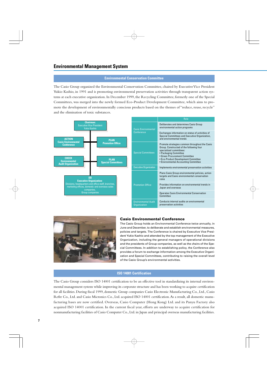#### **Environmental Conservation Committee**

The Casio Group organized the Environmental Conservation Committee, chaired by Executive Vice President Yukio Kashio, in 1991 and is promoting environmental preservation activities through transparent action systems at each executive organization. In December 1999, the Recycling Committee, formerly one of the Special Committees, was merged into the newly formed Eco-Product Development Committee, which aims to promote the development of environmentally conscious products based on the themes of "reduce, reuse, recycle" and the elimination of toxic substances.





#### **Casio Environmental Conference**

The Casio Group holds an Environmental Conference twice annually, in June and December, to deliberate and establish environmental measures, policies and targets. The Conference is chaired by Executive Vice President Yukio Kashio and attended by the top management of the Executive Organization, including the general managers of operational divisions and the presidents of Group companies, as well as the chairs of the Special Committees. In addition to establishing policy, the Conference also provides a forum to exchange information among the Executive Organization and Special Committees, contributing to raising the overall level of the Casio Group's environmental activities.

### **ISO 14001 Certification**

The Casio Group considers ISO 14001 certification to be an effective tool in standardizing its internal environmental management system while improving its corporate structure and has been working to acquire certification for all facilities. During fiscal 1999, domestic Group companies Casio Electronic Manufacturing Co., Ltd., Casio Refre Co., Ltd. and Casio Micronics Co., Ltd. acquired ISO 14001 certification. As a result, all domestic manufacturing bases are now certified. Overseas, Casio Computer (Hong Kong) Ltd. and its Panyu Factory also acquired ISO 14001 certification. In the current fiscal year, efforts are underway to acquire certification for nonmanufacturing facilities of Casio Computer Co., Ltd. in Japan and principal overseas manufacturing facilities.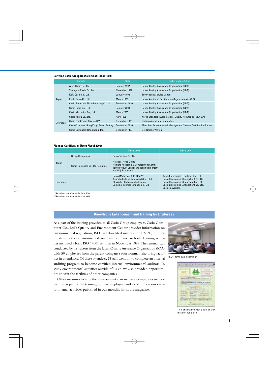#### **Certified Casio Group Bases (End of Fiscal 1999)**

|                       | Facility                                 | Date              | <b>Certifying Institution</b>                                 |
|-----------------------|------------------------------------------|-------------------|---------------------------------------------------------------|
| Aichi Casio Co., Ltd. |                                          | January 1997      | Japan Quality Assurance Organization (JQA)                    |
|                       | Yamagata Casio Co., Ltd.                 | November 1997     | Japan Quality Assurance Organization (JQA)                    |
|                       | Kofu Casio Co., Ltd.                     | January 1998      | Tüv Product Service Japan                                     |
| Japan                 | Kochi Casio Co., Ltd.                    | <b>March 1998</b> | Japan Audit and Certification Organization (JACO)             |
|                       | Casio Electronic Manufacturing Co., Ltd. | September 1999    | Japan Quality Assurance Organization (JQA)                    |
|                       | Casio Refre Co., Ltd.                    | January 2000      | Japan Quality Assurance Organization (JQA)                    |
|                       | Casio Micronics Co., Ltd.                | <b>March 2000</b> | Japan Quality Assurance Organization (JQA)                    |
|                       | Casio Korea Co., Ltd.                    | April 1998        | Korea Standards Association - Quality Assurance (KSA-QA)      |
| Overseas              | Casio Electromex S.A. de C.V.            | December 1998     | Underwriters Laboratories Inc.                                |
|                       | Casio Computer (Hong Kong) Panyu Factory | September 1999    | Shenzhen Environmental Management System Certification Center |
|                       | Casio Computer (Hong Kong) Ltd.          | December 1999     | Det Norske Veritas                                            |

#### **Planned Certification (From Fiscal 2000)**

|          |                                     | Fiscal 2000                                                                                                                                      | Fiscal 2001                                                                                                                                                                                 |  |  |
|----------|-------------------------------------|--------------------------------------------------------------------------------------------------------------------------------------------------|---------------------------------------------------------------------------------------------------------------------------------------------------------------------------------------------|--|--|
|          | <b>Group Companies</b>              | Casio Techno Co., Ltd.                                                                                                                           |                                                                                                                                                                                             |  |  |
| Japan    | Casio Computer Co., Ltd. facilities | Hatsudai Head Office<br>Hamura Research & Development Center<br>Tokyo Product Control and Technical Center*<br>Hachioji Laboratory               |                                                                                                                                                                                             |  |  |
| Overseas |                                     | Casio (Malaysia) Sdn. Bhd.**<br>Asahi Industries (Malaysia) Sdn. Bhd.<br>Pt. Asahi Electronics Indonesia<br>Casio Electronics (Zhuhai) Co., Ltd. | Asahi Electronics (Thailand) Co., Ltd.<br>Casio Electronics (Guangzhou) Co., Ltd.<br>Casio Electronics (Shenzhen) Co., Ltd.<br>Casio Electronics (Zhongshan) Co., Ltd.<br>Casio Taiwan Ltd. |  |  |

\*Received certification in June 2000

\*\*Received certification in May 2000

#### **Knowledge Enhancement and Training for Employees**

As a part of the training provided to all Casio Group employees, Casio Computer Co., Ltd.'s Quality and Environment Center provides information on environmental regulations, ISO 14001-related matters, the CVPE, industry trends and other environmental issues via its intranet web site. Training activities included a basic ISO 14001 seminar in November 1999. The seminar was conducted by instructors from the Japan Quality Assurance Organization (JQA) with 50 employees from the parent company's four nonmanufacturing facilities in attendance. Of these attendees, 28 staff went on to complete an internal auditing program to become certified internal environmental auditors. To study environmental activities outside of Casio, we also provided opportunities to visit the facilities of other companies.

Other measures to raise the environmental awareness of employees include lectures as part of the training for new employees and a column on our environmental activities published in our monthly in-house magazine.



ISO 14001 basic seminar



The environmental page of our intranet web site

.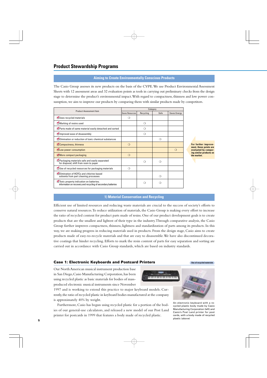### **Product Stewardship Programs**

#### **Aiming to Create Environmentally Conscious Products**

The Casio Group assesses its new products on the basis of the CVPE. We use Product Environmental Assessment Sheets with 12 assessment areas and 32 evaluation points as tools in carrying out preliminary checks from the design stage to determine the product's environmental impact. With regard to compactness, thinness and low power consumption, we aim to improve our products by comparing them with similar products made by competitors.

| <b>Product Assessment Item</b>                                                                          | Category               |           |      |              |  |  |
|---------------------------------------------------------------------------------------------------------|------------------------|-----------|------|--------------|--|--|
|                                                                                                         | <b>Saves Resources</b> | Recycling | Safe | Saves Energy |  |  |
| Uses recycled materials                                                                                 | ≘                      |           |      |              |  |  |
| Marking of resins used                                                                                  |                        | ∩         |      |              |  |  |
| Parts made of same material easily detached and sorted                                                  |                        | ∩         |      |              |  |  |
| Improved ease of disassembly                                                                            |                        | ∩         |      |              |  |  |
| Elimination or reduction of toxic chemical substances                                                   |                        |           | ∩    |              |  |  |
| Compactness, thinness                                                                                   | $\Omega$               |           |      |              |  |  |
| Low power consumption                                                                                   |                        |           |      | $\Omega$     |  |  |
| More compact packaging                                                                                  | $\Omega$               |           |      |              |  |  |
| Packaging materials safe and easily separated<br>for disposal; shift from resin to paper                |                        | ∩         | ∩    |              |  |  |
| Use of recycled resources for packaging materials                                                       | ∩                      |           |      |              |  |  |
| Elimination of HCFCs and chlorine-based<br>solvents from part cleaning processes                        |                        |           | ◯    |              |  |  |
| Toxic property indication on batteries;<br>information on recovery and recycling of secondary batteries |                        | ≘         | ∩    |              |  |  |

**For further improvement, these points are evaluated by comparing similar products on the market.**

#### **1) Material Conservation and Recycling**

Efficient use of limited resources and reducing waste materials are crucial to the success of society's efforts to conserve natural resources. To reduce utilization of materials, the Casio Group is making every effort to increase the ratio of recycled content for product parts made of resins. One of our product development goals is to create products that are the smallest and lightest of their type in the industry. Through comparative analysis, the Casio Group further improves compactness, thinness, lightness and standardization of parts among its products. In this way, we are making progress in reducing materials used in products. From the design stage, Casio aims to create products made of easy-to-recycle materials and that are easy to disassemble. We have also discontinued decorative coatings that hinder recycling. Efforts to mark the resin content of parts for easy separation and sorting are carried out in accordance with Casio Group standards, which are based on industry standards.

#### **Case 1: Electronic Keyboards and Postcard Printers The Case of recycled materials**

Our North American musical instrument production base in San Diego, Casio Manufacturing Corporation, has been using recycled plastic as basic materials for bodies of massproduced electronic musical instruments since November

1997 and is working to extend this practice to major keyboard models. Currently, the ratio of recycled plastic in keyboard bodies manufactured at the company is approximately 40% by weight.

Furthermore, Casio has begun using recycled plastic for a portion of the bodies of our general-use calculators, and released a new model of our Post Land printer for postcards in 1999 that features a body made of recycled plastic.



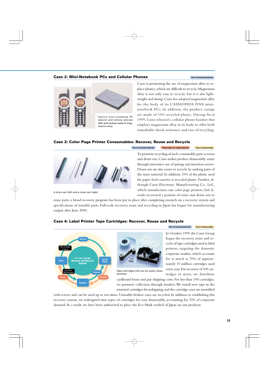#### **Case 2: Mini-Notebook PCs and Cellular Phones** *Use of recycled materials*



Casio is promoting the use of magnesium alloy to replace plastics, which are difficult to recycle. Magnesium alloy is not only easy to recycle, but it is also lightweight and strong. Casio has adopted magnesium alloy for the body of its CASSIOPEIA FIVA mininotebook PCs. In addition, the product casings are made of 10% recycled plastic. During fiscal 1999, Casio released a cellular phone handset that employs magnesium alloy in its body to offer both remarkable shock-resistance and ease of recycling.

#### **Case 3: Color Page Printer Consumables: Recover, Reuse and Recycle**



A drum set (left) and a toner set (right)

To promote recycling of such consumable parts as toner and drum sets, Casio makes product disassembly easier through innovative use of springs and insertion screws. Drum sets are also easier to recycle by making parts of the same material. In addition, 10% of the plastic used for paper feed cassettes is recycled plastic. Further, although Casio Electronic Manufacturing Co., Ltd., which manufactures our color page printers, had already recovered a portion of toner and drum sets to

reuse parts, a broad recovery program has been put in place after completing research on a recovery system and specifications of reusable parts. Full-scale recovery, reuse and recycling in Japan has begun for manufacturing output after June 2000.

#### **Case 4: Label Printer Tape Cartridges: Recover, Reuse and Recycle**





Tape cartridges that can be easily disassembled

**Use of recycled materials Ease of disassembly** 

In October 1999, the Casio Group began the recovery, reuse and recycle of tape cartridges used in label printers, targeting the domestic corporate market, which accounts for as much as 70% of approximately 10 million cartridges used every year. For recovery of 100 cartridges or more, we distribute

cardboard boxes and pay shipping costs. For less than 100 cartridges, we promote collection through retailers. We install new tape in the returned cartridges for reshipping, and the cartridge cases are assembled

with screws and can be used up to ten times. Unusable broken cases are recycled. In addition to establishing this recovery system, we redesigned nine types of cartridges for easy disassembly, accounting for 70% of corporate demand. As a result, we have been authorized to place the Eco Mark symbol of Japan on our products.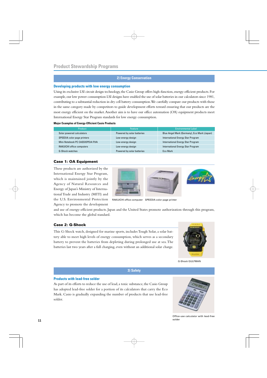#### **2) Energy Conservation**

#### **Developing products with low energy consumption**

Using its exclusive LSI circuit design technology, the Casio Group offers high-function, energy-efficient products. For example, our low power consumption LSI designs have enabled the use of solar batteries in our calculators since 1981, contributing to a substantial reduction in dry cell battery consumption. We carefully compare our products with those in the same category made by competitors to guide development efforts toward ensuring that our products are the most energy efficient on the market. Another aim is to have our office automation (OA) equipment products meet International Energy Star Program standards for low energy consumption.

#### **Major Examples of Energy-Efficient Casio Products**

| <b>Product</b>                   | Feature                    | <b>Environmental Label</b>                  |
|----------------------------------|----------------------------|---------------------------------------------|
| Solar powered calculators        | Powered by solar batteries | Blue Angel Mark (Germany), Eco Mark (Japan) |
| SPEEDIA color page printers      | Low-energy design          | International Energy Star Program           |
| Mini-Notebook PC CASSIOPEIA FIVA | Low-energy design          | International Energy Star Program           |
| RAKUICHI office computers        | Low-energy design          | <b>International Energy Star Program</b>    |
| <b>G-Shock watches</b>           | Powered by solar batteries | <b>Fco Mark</b>                             |

#### **Case 1: OA Equipment**

These products are authorized by the International Energy Star Program, which is maintained jointly by the Agency of Natural Resources and Energy of Japan's Ministry of International Trade and Industry (MITI) and the U.S. Environmental Protection Agency to promote the development



RAKUICHI office computer SPEEDIA color page printer

and use of energy-efficient products. Japan and the United States promote authorization through this program, which has become the global standard.

#### **Case 2: G-Shock**

This G-Shock watch, designed for marine sports, includes Tough Solar, a solar battery able to meet high levels of energy consumption, which serves as a secondary battery to prevent the batteries from depleting during prolonged use at sea. The batteries last two years after a full charging, even without an additional solar charge.



G-Shock GULFMAN

#### **3) Safety**

#### **Products with lead-free solder**

As part of its efforts to reduce the use of lead, a toxic substance, the Casio Group has adopted lead-free solder for a portion of its calculators that carry the Eco Mark. Casio is gradually expanding the number of products that use lead-free solder.



Office-use calculator with lead-free solder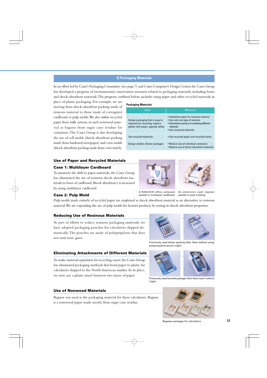#### **4) Packaging Materials**

In an effort led by Casio's Packaging Committee (see page 7) and Casio Computer's Design Center, the Casio Group has developed a program of environmental conservation measures related to packaging materials, including boxes and shock-absorbent materials. The program, outlined below, includes using paper and other recycled materials in

place of plastic packaging. For example, we are moving from shock-absorbent packing made of resinous material to those made of corrugated cardboard or pulp molds. We also utilize recycled paper from milk cartons, or such nonwood material as bagasse from sugar cane residue for containers. The Casio Group is also developing the use of cell molds (shock-absorbent packing made from hardened newspaper) and corn molds (shock-absorbent packing made from corn starch).

#### **Packaging Materials**

| Goals                                                                                                     | <b>Measures</b>                                                                                                                                                      |
|-----------------------------------------------------------------------------------------------------------|----------------------------------------------------------------------------------------------------------------------------------------------------------------------|
| Design packaging that is easy to<br>separate for recycling; replace<br>plastic with paper; upgrade safety | • Substitute paper for resinous material<br>• Use only one type of material<br>• Discontinue practice of combining different<br>materials<br>• Use nonwood materials |
| Use recycled materials                                                                                    | • Use recycled paper and recycled resins                                                                                                                             |
| Design smaller, thinner packages                                                                          | • Reduce size of individual containers<br>• Reduce use of shock-absorbent materials                                                                                  |

#### **Use of Paper and Recycled Materials**

#### **Case 1: Multilayer Cardboard**

To promote the shift to paper materials, the Casio Group has eliminated the use of resinous shock-absorbent materials in favor of cardboard. Shock absorbency is increased by using multilayer cardboard.



packed in multilayer cardboard



packed in pulp molding

#### **Case 2: Pulp Mold**

Pulp molds made entirely of recycled paper are employed as shock-absorbent material as an alternative to resinous material. We are expanding the use of pulp molds for heavier products by testing its shock-absorbent properties.

#### **Reducing Use of Resinous Materials**

As part of efforts to reduce resinous packaging materials, we have adopted packaging pouches for calculators shipped domestically. The pouches are made of polypropylene that does not emit toxic gases.



A RAKUICHI office computer An electronic cash register

Previously used blister packing (left); New method using polypropylene pouch (right)

#### **Eliminating Attachments of Different Materials**

To make material separation for recycling easier, the Casio Group has eliminated packaging methods that bond paper to plastic for calculators shipped to the North American market. In its place, we now use a plastic insert between two layers of paper.



Previously used bonded package (left); New insert method (right)

#### **Use of Nonwood Materials**

Bagasse was used as the packaging material for these calculators. Bagasse is a nonwood paper made mostly from sugar cane residue.



Bagasse packages for calculators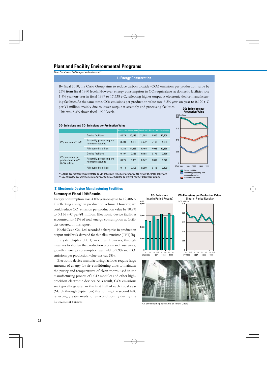### **Plant and Facility Environmental Programs**

Note: Fiscal years in this report end on March 31.

#### **1) Energy Conservation**

By fiscal 2010, the Casio Group aims to reduce carbon dioxide (CO2) emissions per production value by 25% from fiscal 1990 levels. However, energy consumption in CO2 equivalents at domestic facilities rose 1.4% year-on-year in fiscal 1999 to 17,338 t-C, reflecting higher output at electronic device manufacturing facilities. At the same time,  $CO<sub>2</sub>$  emissions per production value rose 6.2% year-on-year to 0.120 t-C per ¥1 million, mainly due to lower output at assembly and processing facilities. This was 5.3% above fiscal 1990 levels. **CO2 Emissions per** 

**Production Value** 0.20 (t-C/¥ million) 0.15 0.05 0.10  $\begin{array}{c}\n\begin{array}{c}\n\end{array}0\n\end{array}$  (FY)1990 (FY)1990 1996 1997 1998 1999 **Device facilities Assembly, processing and** nonmanufacturing All covered facilities

**CO2 Emissions and CO2 Emissions per Production Value**

|                                                                 |                                              |       |        |        | lFiscal 1990 Fiscal 1996 Fiscal 1997 Fiscal 1998 Fiscal 1999 |        |
|-----------------------------------------------------------------|----------------------------------------------|-------|--------|--------|--------------------------------------------------------------|--------|
| $CO2$ emissions <sup>*1</sup> (t-C)                             | Device facilities                            | 4,579 | 10,113 | 11,193 | 11,930                                                       | 12,406 |
|                                                                 | Assembly, processing and<br>nonmanufacturing | 3,709 | 4,186  | 4,272  | 5,163                                                        | 4,933  |
|                                                                 | All covered facilities                       | 8,288 | 14,299 | 15,465 | 17,093                                                       | 17,338 |
| $CO2$ emissions per<br>production value*2<br>$(t-C/K)$ million) | Device facilities                            | 0.197 | 0.189  | 0.168  | 0.175                                                        | 0.156  |
|                                                                 | Assembly, processing and<br>nonmanufacturing | 0.075 | 0.053  | 0.047  | 0.062                                                        | 0.076  |
|                                                                 | All covered facilities                       | 0.114 | 0.108  | 0.099  | 0.113                                                        | 0.120  |

\*<sup>1.</sup> Energy consumption is represented as CO<sub>2</sub> emissions, which are defined as the weight of carbon emissions.  $*$ 2 CO<sub>2</sub> emissions per unit is calculated by dividing CO<sub>2</sub> emissions by the yen value of production output.

**(1) Electronic Device Manufacturing Facilities**

#### **Summary of Fiscal 1999 Results**

Energy consumption rose 4.0% year-on-year to 12,406 t-C reflecting a surge in production volume. However, we could reduce CO2 emission per production value by 10.9% to 0.156 t-C per ¥1 million. Electronic device facilities accounted for 72% of total energy consumption at facilities covered in this report.

Kochi Casio Co., Ltd. recorded a sharp rise in production output amid brisk demand for thin film transistor (TFT) liquid crystal display (LCD) modules. However, through measures to shorten the production process and raise yields, growth in energy consumption was held to 2.9% and CO2 emissions per production value was cut 28%.

Electronic device manufacturing facilities require large amounts of energy for air-conditioning units to maintain the purity and temperatures of clean rooms used in the manufacturing process of LCD modules and other highprecision electronic devices. As a result, CO2 emissions are typically greater in the first half of each fiscal year (March through September) than during the second half, reflecting greater needs for air-conditioning during the hot summer season.





(FY)1996 1997 1998 1999



Air-conditioning facilities of Kochi Casio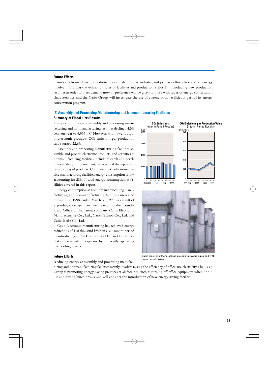#### **Future Efforts**

Casio's electronic device operations is a capital-intensive industry, and primary efforts to conserve energy involve improving the utilization rates of facilities and production yields. In introducing new production facilities in order to meet demand growth, preference will be given to those with superior energy conservation characteristics, and the Casio Group will investigate the use of cogeneration facilities as part of its energy conservation program.

#### **(2) Assembly and Processing Manufacturing and Nonmanufacturing Facilities Summary of Fiscal 1999 Results**

Energy consumption at assembly and processing manufacturing and nonmanufacturing facilities declined 4.5% year-on-year to 4,933 t-C. However, with lower output of electronic products, CO2 emissions per production value surged 22.6%.

Assembly and processing manufacturing facilities assemble and process electronic products, and activities at nonmanufacturing facilities include research and development, design, procurement, services, and the repair and refurbishing of products. Compared with electronic device manufacturing facilities, energy consumption is low, accounting for 28% of total energy consumption at facilities covered in this report.

Energy consumption at assembly and processing manufacturing and nonmanufacturing facilities increased during fiscal 1998, ended March 31, 1999, as a result of expanding coverage to include the results of the Hatsudai Head Office of the parent company, Casio Electronic Manufacturing Co., Ltd., Casio Techno Co., Ltd. and Casio Refre Co., Ltd.

Casio Electronic Manufacturing has achieved energy reductions of 110 thousand kWh in a six-month period by introducing an Air Conditioner Demand Controller that can save total energy use by efficiently operating five cooling towers.

#### 8,000 (t-C) 6,000 4,000  $2.00$ 0 **CO2 Emissions per Production Value** (Interim Period Results) **CO2 Emissions** (Interim Period Results) 0.25 (t-C/¥ million) 0.20 0.15 0.10 .<br>ባ በ<sup>5</sup>  $\overline{0}$ (FY)1996 1997 1998 1999 2nd 1st 2nd 1st 2nd (FY)1996 1997 1998 1999 1st 2nd 1st 2nd 1st 2nd 1st 2nd



#### **Future Efforts**

Casio Electronic Manufacturing's cooling towers equipped with new control system

Reducing energy at assembly and processing manufac-

turing and nonmanufacturing facilities mainly involves raising the efficiency of office-use electricity. The Casio Group is promoting energy-saving practices at all facilities, such as turning off office equipment when not in use and during lunch breaks, and will consider the introduction of new energy-saving facilities.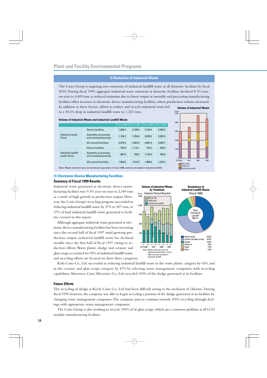#### **2) Reduction of Industrial Waste**

The Casio Group is targeting zero emissions of industrial landfill waste at all domestic facilities by fiscal 2010. During fiscal 1999, aggregate industrial waste emissions at domestic facilities declined 8.3% yearon-year to 4,405 tons, as reduced emissions due to lower output at assembly and processing manufacturing facilities offset increases at electronic device manufacturing facilities, where production volume increased. In addition to these factors, efforts to reduce and recycle industrial waste led **Volume of Industrial Waste**

to a 35.6% drop in industrial landfill waste to 1,223 tons.

#### **Volume of Industrial Waste and Industrial Landfill Waste**

|                                     |                                                                                                             | Fiscal 1996 | Fiscal 1997 | Fiscal 1998 | Fiscal 1999 |
|-------------------------------------|-------------------------------------------------------------------------------------------------------------|-------------|-------------|-------------|-------------|
| Industrial waste<br>(Tons)          | <b>Device facilities</b>                                                                                    | 1.848.3     | 2.109.6     | 2.145.9     | 2,349.3     |
|                                     | Assembly, processing<br>and nonmanufacturing                                                                | 1,126.3     | 1.354.8     | 2.655.5     | 2,055.4     |
|                                     | All covered facilities                                                                                      | 2.974.6     | 3.464.4     | 4.801.4     | 4.404.7     |
| Industrial landfill<br>waste (Tons) | Device facilities                                                                                           | 794.9       | 1.114.1     | 724.2       | 456.5       |
|                                     | Assembly, processing<br>and nonmanufacturing                                                                | 807.9       | 700.2       | 1.176.4     | 766.9       |
|                                     | All covered facilities                                                                                      | 1.602.8     | 1.814.3     | 1.900.6     | 1.223.4     |
|                                     | Note: Waste reduction was not monitored separately in fiscal 1996, and was included in industrial landfill. |             |             |             |             |



#### **(1) Electronic Device Manufacturing Facilities Summary of Fiscal 1999 Results**

Industrial waste generated at electronic device manufacturing facilities rose 9.5% year-on-year to 2,349 tons as a result of high growth in production output. However, the Casio Group's recycling program succeeded in reducing industrial landfill waste by 37% to 457 tons, or 37% of total industrial landfill waste generated at facilities covered in this report.

Although aggregate industrial waste generated at electronic device manufacturing facilities has been increasing since the second half of fiscal 1997 amid growing production output, industrial landfill waste has declined steadily since the first half of fiscal 1997 owing to reduction efforts. Waste plastic, sludge and ceramic and glass scraps accounted for 92% of industrial landfill waste, and recycling efforts are focused on these three categories.



Kofu Casio Co., Ltd. succeeded in reducing industrial landfill waste in the waste plastic category by 65%, and in the ceramic and glass scraps category by 47% by selecting waste management companies with recycling capabilities. Moreover, Casio Micronics Co., Ltd. recycled 100% of the sludge generated at its facilities.

#### **Future Efforts**

The recycling of sludge at Kochi Casio Co., Ltd. had been difficult owing to the inclusion of chlorine. During fiscal 1999, however, the company was able to begin recycling a portion of the sludge generated at its facilities by changing waste management companies. The company aims to continue towards 100% recycling through dealings with appropriate waste management companies.

The Casio Group is also working to recycle 100% of its glass scraps, which are a common problem at all LCD module manufacturing facilities.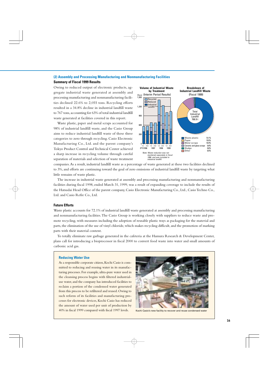#### **(2) Assembly and Processing Manufacturing and Nonmanufacturing Facilities**

#### **Summary of Fiscal 1999 Results**

Owing to reduced output of electronic products, aggregate industrial waste generated at assembly and processing manufacturing and nonmanufacturing facilities declined 22.6% to 2,055 tons. Recycling efforts resulted in a 34.8% decline in industrial landfill waste to 767 tons, accounting for 63% of total industrial landfill waste generated at facilities covered in this report.

Waste plastic, paper and metal scraps accounted for 98% of industrial landfill waste, and the Casio Group aims to reduce industrial landfill waste of these three categories to zero through recycling. Casio Electronic Manufacturing Co., Ltd. and the parent company's Tokyo Product Control and Technical Center achieved a sharp increase in recycling volume through careful separation of materials and selection of waste treatment



companies. As a result, industrial landfill waste as a percentage of waste generated at these two facilities declined to 3%, and efforts are continuing toward the goal of zero emissions of industrial landfill waste by targeting what little remains of waste plastic.

The increase in industrial waste generated at assembly and processing manufacturing and nonmanufacturing facilities during fiscal 1998, ended March 31, 1999, was a result of expanding coverage to include the results of the Hatsudai Head Office of the parent company, Casio Electronic Manufacturing Co., Ltd., Casio Techno Co., Ltd. and Casio Refre Co., Ltd.

#### **Future Efforts**

Waste plastic accounts for 72.1% of industrial landfill waste generated at assembly and processing manufacturing and nonmanufacturing facilities. The Casio Group is working closely with suppliers to reduce waste and promote recycling, with measures including the adoption of reusable plastic trays as packaging for the material and parts, the elimination of the use of vinyl chloride, which makes recycling difficult, and the promotion of marking parts with their material content.

To totally eliminate raw garbage generated in the cafeteria at the Hamura Research & Development Center, plans call for introducing a bioprocessor in fiscal 2000 to convert food waste into water and small amounts of carbonic acid gas.

#### **Reducing Water Use**

As a responsible corporate citizen, Kochi Casio is committed to reducing and reusing water in its manufacturing processes. For example, ultra-pure water used in the cleansing process begins with filtered industrialuse water, and the company has introduced facilities to reclaim a portion of the condensed water generated from this process to be refiltered and reused. Owing to such reform of its facilities and manufacturing processes for electronic devices, Kochi Casio has reduced the amount of water used per unit of production by 40% in fiscal 1999 compared with fiscal 1997 levels. Kochi Casio's new facility to recover and reuse condensed water

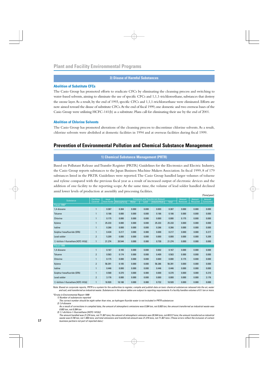#### **3) Disuse of Harmful Substances**

#### **Abolition of Substitute CFCs**

The Casio Group has promoted efforts to eradicate CFCs by eliminating the cleansing process and switching to water-based solvents, aiming to eliminate the use of specific CFCs and 1,1,1-trichloroethane, substances that destroy the ozone layer. As a result, by the end of 1993, specific CFCs and 1,1,1-trichloroethane were eliminated. Efforts are now aimed toward the disuse of substitute CFCs. At the end of fiscal 1999, one domestic and two overseas bases of the Casio Group were utilizing HCFC-141(b) as a substitute. Plans call for eliminating their use by the end of 2001.

#### **Abolition of Chlorine Solvents**

The Casio Group has promoted alterations of the cleansing process to discontinue chlorine solvents. As a result, chlorine solvents were abolished at domestic facilities in 1994 and at overseas facilities during fiscal 1999.

### **Prevention of Environmental Pollution and Chemical Substance Management**

### **1) Chemical Substance Management (PRTR)**

Based on Pollutant Release and Transfer Register (PRTR) Guidelines for the Electronics and Electric Industry, the Casio Group reports substances to the Japan Business Machine Makers Association. In fiscal 1999, 8 of 179 substances listed in the PRTR Guidelines were reported. The Casio Group handled larger volumes of toluene and xylene compared with the previous fiscal year as a result of increased output of electronic devices and the addition of one facility to the reporting scope. At the same time, the volume of lead solder handled declined amid lower levels of production at assembly and processing facilities.

|                                           |                              |                                 |            |                                         |       |                         |                   |                    |                           | (Tons/year) |
|-------------------------------------------|------------------------------|---------------------------------|------------|-----------------------------------------|-------|-------------------------|-------------------|--------------------|---------------------------|-------------|
| <b>Substance</b>                          | <b>Facilities</b><br>Covered | Annual<br><b>Volume Handled</b> |            | <b>Emissions and Transferred Amount</b> |       |                         | Amount<br>Removed | Amount<br>Recycled | <b>Amount</b><br>Consumed |             |
| Fiscal 1998*                              |                              |                                 | Atmosphere | Water                                   | Land  | <b>Industrial Waste</b> | <b>Total</b>      |                    |                           |             |
| 1,4-dioxane                               | $\mathbf{1}$                 | 0.387                           | 0.384      | 0.000                                   | 0.000 | 0.003                   | 0.387             | 0.000              | 0.000                     | 0.000       |
| <b>Toluene</b>                            | $\mathbf{1}$                 | 0.186                           | 0.000      | 0.000                                   | 0.000 | 0.186                   | 0.186             | 0.000              | 0.000                     | 0.000       |
| Chlorine                                  | $\mathbf{1}$                 | 0.175                           | 0.000      | 0.000                                   | 0.000 | 0.000                   | 0.000             | 0.175              | 0.000                     | 0.000       |
| Xylene                                    | $\mathbf{1}$                 | 25.233                          | 0.000      | 0.000                                   | 0.000 | 25.233                  | 25.233            | 0.000              | 0.000                     | 0.000       |
| lodine                                    | $\mathbf{1}$                 | 0.266                           | 0.000      | 0.000                                   | 0.000 | 0.266                   | 0.266             | 0.000              | 0.000                     | 0.000       |
| Sulphur hexafluoride (SF6)                |                              | 0.434                           | 0.217      | 0.000                                   | 0.000 | 0.000                   | 0.217             | 0.000              | 0.000                     | 0.217       |
| Lead solder                               | $\overline{2}$               | 5.209                           | 0.000      | 0.000                                   | 0.000 | 0.000                   | 0.000             | 0.000              | 0.000                     | 5.209       |
| 1,1-dichloro-1-fluoroethane [HCFC-141(b)] | $\mathbf{1}$                 | 21.274                          | 20.544     | 0.000                                   | 0.000 | 0.730                   | 21.274            | 0.000              | 0.000                     | 0.000       |
| Fiscal 1999                               |                              |                                 |            |                                         |       |                         |                   |                    |                           |             |
| 1,4-dioxane                               | $\mathbf{1}$                 | 0.167                           | 0.165      | 0.000                                   | 0.000 | 0.002                   | 0.167             | 0.000              | 0.000                     | 0.000       |
| Toluene                                   | $\overline{2}$               | 0.583                           | 0.174      | 0.000                                   | 0.000 | 0.409                   | 0.583             | 0.000              | 0.000                     | 0.000       |
| Chlorine                                  | $\mathbf{1}$                 | 0.175                           | 0.000      | 0.000                                   | 0.000 | 0.000                   | 0.000             | 0.175              | 0.000                     | 0.000       |
| Xylene                                    | $\overline{2}$               | 56.391                          | 0.105      | 0.000                                   | 0.000 | 56.286                  | 56.391            | 0.000              | 0.000                     | 0.000       |
| lodine                                    | $\mathbf{1}$                 | 0.446                           | 0.000      | 0.000                                   | 0.000 | 0.446                   | 0.446             | 0.000              | 0.000                     | 0.000       |
| Sulphur hexafluoride (SF6)                |                              | 0.580                           | 0.370      | 0.000                                   | 0.000 | 0.000                   | 0.370             | 0.000              | 0.000                     | 0.210       |
| Lead solder                               | $\overline{2}$               | 3.176                           | 0.000      | 0.000                                   | 0.000 | 0.000                   | 0.000             | 0.000              | 0.000                     | 3.176       |
| 1,1-dichloro-1-fluoroethane [HCFC-141(b)] | $\mathbf{1}$                 | 18.920                          | 18.188     | 0.000                                   | 0.000 | 0.732                   | 18.920            | 0.000              | 0.000                     | 0.000       |

Note: Based on corporate reports, PRTR is a system for the authorities to register, compile and publish data on toxic chemical substances released into the air, water and soil, and transferred as industrial waste. Substances in the above tables are subject to reporting requirements if a facility handles volumes of 0.1 ton or more.

\*Errata in Environmental Report 1999

1) Number of substances reported

The correct number should be eight rather than nine, as hydrogen fluoride water is not included in PRTR substances 2) 1,4-dioxane

As a result of corrections in compiled data, the amount of atmospheric emissions was 0.384 ton, not 0.003 ton; the amount transferred as industrial waste was 0.003 ton, not 0.384 ton

3) 1,1-dichloro-1-fluoroethane [HCFC-141(b)]

The amount handled was 21.274 tons, not 71.367 tons; the amount of atmospheric emission was 20.544 tons, not 69.517 tons; the amount transferred as industrial waste was 0.730 ton, not 1.850 tons; and total emissions and transferred amount was 21.274 tons, not 71.367 tons. (These errors reflect the inclusion of certain business partners not part of reported data.)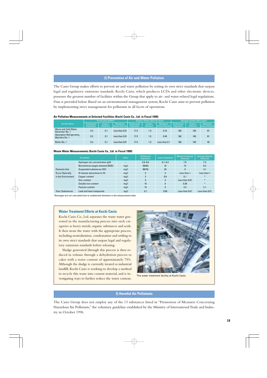#### **2) Prevention of Air and Water Pollution**

The Casio Group makes efforts to prevent air and water pollution by setting its own strict standards that surpass legal and regulatory emissions standards. Kochi Casio, which produces LCDs and other electronic devices, possesses the greatest number of facilities within the Group that apply to air- and water-related legal regulations. Data is provided below. Based on an environmental management system, Kochi Casio aims to prevent pollution by implementing strict management for pollutants in all facets of operations.

| Air Pollution Measurements at Selected Facilities (Kochi Casio Co., Ltd. in Fiscal 1999) |  |
|------------------------------------------------------------------------------------------|--|
|------------------------------------------------------------------------------------------|--|

|                                                  | Particulate (q/Nm <sup>3</sup> ) |                     | Sulphur Oxides (SO <sub>x</sub> ) (K value) |                           |                            | Nitrogen Oxides (NO <sub>x</sub> ) (ppm) |                           |                            |                                          |
|--------------------------------------------------|----------------------------------|---------------------|---------------------------------------------|---------------------------|----------------------------|------------------------------------------|---------------------------|----------------------------|------------------------------------------|
| <b>Facility Name</b>                             | Prefectural<br>Regulation        | Casio's<br>Standard | <b>Maximum</b><br><b>Amount Detected</b>    | Prefectural<br>Regulation | Casio's<br><b>Standard</b> | <b>Maximum</b><br>Amount Detected        | Prefectural<br>Regulation | Casio's<br><b>Standard</b> | <b>Maximum</b><br><b>Amount Detected</b> |
| Warm and Cold Water<br>Generator No. 1           | 0.3                              | 0.1                 | Less than 0.01                              | 17.5                      | 1.0                        | 0.16                                     | 180                       | 140                        | 67                                       |
| <b>Absorption Refrigerating</b><br>Machine No. 1 | 0.3                              | 0.1                 | Less than 0.01                              | 17.5                      | 1.0                        | 0.44                                     | 180                       | 140                        | 61                                       |
| Boiler No. 1                                     | 0.3                              | 0.1                 | Less than 0.01                              | 17.5                      | 1.0                        | Less than 0.1                            | 180                       | 140                        | 40                                       |

#### **Waste Water Measurements (Kochi Casio Co., Ltd. in Fiscal 1999)**

| Parameter                            |                                 | <b>Units</b> | Prefectural<br>Regulation | Casio's Standard | Maximum Amount<br><b>Detected</b> | <b>Average Amount</b><br><b>Detected</b> |
|--------------------------------------|---------------------------------|--------------|---------------------------|------------------|-----------------------------------|------------------------------------------|
|                                      | Hydrogen-ion concentration (pH) |              | $5.8 - 8.6$               | $6.1 - 8.3$      | 7.9                               | 7.3                                      |
|                                      | Biochemical oxygen demand (BOD) | mq/l         | 50(40)                    | 16               | 15                                | 6.2                                      |
| Elements that                        | Suspended substances (SS)       | mq/l         | 90(70)                    | 20               | g                                 | 4.1                                      |
| <b>Occur Naturally</b>               | N-hexane extractives (n-H)      | mq/l         | 5                         | 4                | Less than 1                       | Less than 1                              |
| in the Environment<br>Copper content |                                 | mq/l         | 3                         | 0.8              | 0.1                               | $\ast$                                   |
|                                      | Zinc content                    | mq/l         | 5                         | 4                | Less than 0.01                    | $\ast$                                   |
|                                      | Soluble iron content            | mq/l         | 10                        | 8                | 0.39                              | $\ast$                                   |
|                                      | Fluorine content                | mq/l         | 15                        | 9                | 3.5                               | 2.1                                      |
| <b>Toxic Substances</b>              | Lead and lead compounds         | mq/l         | 0.1                       | 0.08             | Less than 0.01                    | Less than 0.01                           |

\*Averages are not calculated due to undetected elements in the measurement data.

#### **Water Treatment Efforts at Kochi Casio**

Kochi Casio Co., Ltd. separates the waste water generated in the manufacturing process into such categories as heavy metals, organic substances and acids. It then treats the water with the appropriate process, including neutralization, condensation and settling to its own strict standards that surpass legal and regulatory emissions standards before releasing.

Sludge generated through this process is then reduced in volume through a dehydration process to cakes with a water content of approximately 75%. Although the sludge is currently treated as industrial landfill, Kochi Casio is working to develop a method to recycle this waste into cement material, and is investigating ways to further reduce the water content.



The water treatment facility at Kochi Casio

### **3) Harmful Air Pollutants**

The Casio Group does not employ any of the 13 substances listed in "Promotion of Measures Concerning Hazardous Air Pollutants," the voluntary guideline established by the Ministry of International Trade and Industry in October 1996.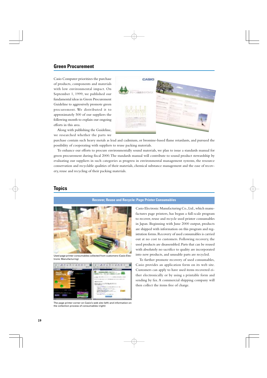### **Green Procurement**

Casio Computer prioritizes the purchase of products, components and materials with low environmental impact. On September 1, 1999, we published our fundamental ideas in Green Procurement Guideline to aggressively promote green procurement. We distributed it to approximately 500 of our suppliers the following month to explain our ongoing efforts in this area.



Along with publishing the Guideline, we researched whether the parts we

purchase contain such heavy metals as lead and cadmium, or bromine-based flame retardants, and pursued the possibility of cooperating with suppliers to reuse packing materials.

To enhance our efforts to procure environmentally sound materials, we plan to issue a standards manual for green procurement during fiscal 2000. The standards manual will contribute to sound product stewardship by evaluating our suppliers in such categories as progress in environmental management systems, the resource conservation and recyclable qualities of their materials, chemical substance management and the ease of recovery, reuse and recycling of their packing materials.

### **Topics**

### **Recover, Reuse and Recycle: Page Printer Consumables**



Used page printer consumables collected from customers (Casio Electronic Manufacturing)



The page printer corner on Casio's web site (left) and information on the collection process of consumables (right)

Casio Electronic Manufacturing Co., Ltd., which manufactures page printers, has begun a full-scale program to recover, reuse and recycle used printer consumables in Japan. Beginning with June 2000 output, products are shipped with information on this program and registration forms. Recovery of used consumables is carried out at no cost to customers. Following recovery, the used products are disassembled. Parts that can be reused with absolutely no sacrifice to quality are incorporated into new products, and unusable parts are recycled.

To further promote recovery of used consumables, Casio provides an application form on its web site. Customers can apply to have used items recovered either electronically or by using a printable form and sending by fax. A commercial shipping company will then collect the items free of charge.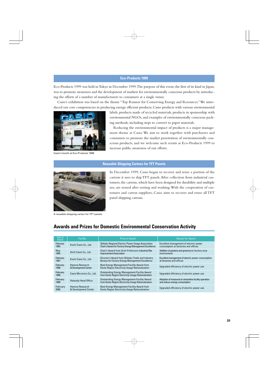#### **Eco-Products 1999**

Eco-Products 1999 was held in Tokyo in December 1999. The purpose of this event, the first of its kind in Japan, was to promote awareness and the development of markets for environmentally conscious products by introducing the efforts of a number of manufacturers to consumers at a single venue.

Casio's exhibition was based on the theme "Top Runner for Conserving Energy and Resources." We introduced our core competencies in producing energy efficient products, Casio products with various environmental



Casio's booth at Eco-Products 1999

labels, products made of recycled materials, products in sponsorship with environmental NGOs, and examples of environmentally conscious packing methods, including steps to convert to paper materials.

Reducing the environmental impact of products is a major management theme at Casio. We aim to work together with purchasers and consumers to promote the market penetration of environmentally conscious products, and we welcome such events as Eco-Products 1999 to increase public awareness of our efforts.

#### **Reusable Shipping Cartons for TFT Panels**



In December 1999, Casio began to recover and reuse a portion of the cartons it uses to ship TFT panels. After collection from industrial customers, the cartons, which have been designed for durability and multiple use, are reused after sorting and washing. With the cooperation of customers and carton suppliers, Casio aims to recover and reuse all TFT panel shipping cartons.

A reusable shipping carton for TFT panels

### **Awards and Prizes for Domestic Environmental Conservation Activity**

| Date of<br>Award | <b>Facility</b>           | Prize or Award                                                                                      | <b>Reason for Award</b>                               |
|------------------|---------------------------|-----------------------------------------------------------------------------------------------------|-------------------------------------------------------|
| February         | Kochi Casio Co., Ltd.     | Shikoku Regional Electric Power Usage Association                                                   | Excellent management of electric power                |
| 1995             |                           | Chair's Award for Factory Energy Management Excellence                                              | consumption at factories and offices                  |
| May              | Aichi Casio Co., Ltd.     | Chair's Award from Aichi Prefecture Industrial Site                                                 | Addition of gardens and greenery to factory area      |
| 1995             |                           | <b>Improvement Association</b>                                                                      | environment                                           |
| February         | Kochi Casio Co., Ltd.     | Director's Award from Shikoku Trade and Industry                                                    | Excellent management of electric power consumption    |
| 1997             |                           | <b>Bureau for Factory Energy Management Excellence</b>                                              | at factories and offices                              |
| February         | Hamura Research           | Best Energy Management Facility Award from                                                          | Upgraded efficiency of electric power use             |
| 1998             | & Development Center      | Kanto Region Electricity Usage Rationalization                                                      |                                                       |
| February<br>1998 | Casio Micronics Co., Ltd. | Outstanding Energy Management Facility Award<br>from Kanto Region Electricity Usage Rationalization | Upgraded efficiency of electric power use             |
| February         | Hatsudai Head Office      | <b>Outstanding Energy Management Facility Award</b>                                                 | Adoption of measures to streamline facility operation |
| 1999             |                           | from Kanto Region Electricity Usage Rationalization                                                 | and reduce energy consumption                         |
| February         | Hamura Research           | Best Energy Management Facility Award from                                                          | Upgraded efficiency of electric power use             |
| 2000             | & Development Center      | Kanto Region Electricity Usage Rationalization                                                      |                                                       |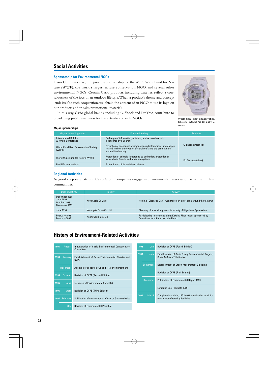### **Social Activities**

#### **Sponsorship for Environmental NGOs**

Casio Computer Co., Ltd. provides sponsorship for the World Wide Fund for Nature (WWF), the world's largest nature conservation NGO, and several other environmental NGOs. Certain Casio products, including watches, reflect a consciousness of the joys of an outdoor lifestyle. When a product's theme and concept lends itself to such cooperation, we obtain the consent of an NGO to use its logo on our products and in sales promotional materials.



In this way, Casio global brands, including G-Shock and ProTrec, contribute to broadening public awareness for the activities of such NGOs.

World Coral Reef Conservation Society (WCCS) model Baby-G watch

#### **Major Sponsorships**

| <b>Organization Supported</b>                                                                                                                                                                                              | <b>Principal Activity</b>                                                                                   | <b>Products</b>   |  |
|----------------------------------------------------------------------------------------------------------------------------------------------------------------------------------------------------------------------------|-------------------------------------------------------------------------------------------------------------|-------------------|--|
| <b>International Dolphin</b><br>& Whale Conference                                                                                                                                                                         | Exchange of information, opinions, and research results<br>(sponsored by I-Search)                          |                   |  |
| Promotion of exchanges of information and international interchange<br><b>World Coral Reef Conservation Society</b><br>related to the conservation of coral reefs and the protection of<br>(WCCS)<br>marine life diversity |                                                                                                             | G-Shock (watches) |  |
| World Wide Fund for Nature (WWF)                                                                                                                                                                                           | Protection of animals threatened by extinction; protection of<br>tropical rain forests and other ecosystems | ProTrec (watches) |  |
| <b>Bird Life International</b>                                                                                                                                                                                             | Protection of birds and their habitats                                                                      |                   |  |

#### **Regional Activities**

As good corporate citizens, Casio Group companies engage in environmental preservation activities in their communities.

| Date of Activity                                            | <b>Facility</b>          | <b>Activity</b>                                                                                         |
|-------------------------------------------------------------|--------------------------|---------------------------------------------------------------------------------------------------------|
| December 1998<br>June 1999<br>October 1999<br>December 1999 | Kofu Casio Co., Ltd.     | Holding "Clean-up Day" (General clean-up of area around the factory)                                    |
| June 1998                                                   | Yamagata Casio Co., Ltd. | Clean-up of area along roads in vicinity of Higashine Gymnasium                                         |
| February 1999<br>February 2000                              | Kochi Casio Co., Ltd.    | Participating in cleanups along Kokubu River (event sponsored by<br>Committee for a Clean Kokubu River) |

## **History of Environment-Related Activities**

| 1991<br>August                                     | Inauguration of Casio Environmental Conservation<br>Committee                                                                                  | July<br>1998    | <b>Revision of CVPE (Fourth Edition)</b>                                                  |
|----------------------------------------------------|------------------------------------------------------------------------------------------------------------------------------------------------|-----------------|-------------------------------------------------------------------------------------------|
| 1993<br>January                                    | Establishment of Casio Environmental Charter and<br><b>CVPE</b>                                                                                | 1999<br>June    | <b>Establishment of Casio Group Environmental Targets,</b><br>Clean & Green 21 Initiative |
| <b>December</b>                                    | Abolition of specific CFCs and 1.1.1-trichloroethane                                                                                           | September       | <b>Establishment of Green Procurement Guideline</b>                                       |
| October<br>1994                                    | <b>Revision of CVPE (Second Edition)</b>                                                                                                       |                 | <b>Revision of CVPE (Fifth Edition)</b>                                                   |
|                                                    |                                                                                                                                                | <b>December</b> | <b>Publication of Environmental Report 1999</b>                                           |
|                                                    |                                                                                                                                                |                 | Exhibit at Eco-Products 1999                                                              |
|                                                    |                                                                                                                                                | March<br>2000   | Completed acquiring ISO 14001 certification at all do-                                    |
| May                                                | <b>Revision of Environmental Pamphlet</b>                                                                                                      |                 |                                                                                           |
| 1995<br>April<br>April<br>1996<br>February<br>1997 | <b>Issuance of Environmental Pamphlet</b><br><b>Revision of CVPE (Third Edition)</b><br>Publication of environmental efforts on Casio web site |                 | mestic manufacturing facilities                                                           |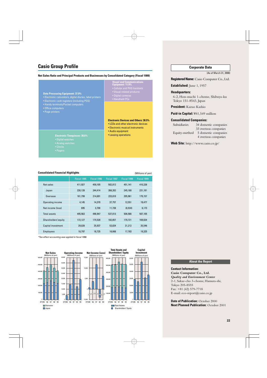### **Casio Group Profile**

#### **Net Sales Ratio and Principal Products and Businesses by Consolidated Category (Fiscal 1999)**

#### **Data Processing Equipment: 37.0%**

- Electronic calculators, digital diaries, label printers
- Electronic cash registers (including POS) • Handy terminals/Pocket computers
- 
- Office computers
- Page printers
- **Visual and Communications Equipment: 11.9%** • Cellular and PHS handsets
	-
	- Digital cameras • Handheld PCs
	-

#### **Electronic Devices and Others: 30.5%**

- LCDs and other electronic devices
- Electronic musical instruments
- Audio equipment
- Leasing operations
- **Electronic Timepieces: 20.6%**
- Digital watches
- Analog watches
- 
- 

#### **Consolidated Financial Highlights** (Millions of yen)

|                     | Fiscal 1995 | Fiscal 1996 | Fiscal 1997 | Fiscal 1998 | Fiscal 1999 |
|---------------------|-------------|-------------|-------------|-------------|-------------|
| Net sales           | 411,927     | 459.105     | 502.012     | 451.141     | 410.338     |
| Japan               | 230,128     | 244,414     | 268,202     | 245,180     | 231,181     |
| Overseas            | 181,799     | 214,691     | 233,810     | 205,961     | 179,157     |
| Operating income    | 4,145       | 14.370      | 37,757      | 12,551      | 19,477      |
| Net income (loss)   | 695         | 3,700       | 11,738      | (8,534)     | 6,173       |
| <b>Total assets</b> | 495,563     | 496,947     | 537,013     | 506,566     | 507,105     |
| Shareholders'equity | 172,127     | 174,528     | 182,657     | 170.721     | 169.634     |
| Capital investment  | 29,028      | 25,937      | 53,824      | 31,212      | 35,546      |
| <b>Employees</b>    | 18,797      | 18,725      | 18,668      | 17,783      | 19,325      |

\*Tax-effect accounting was applied in fiscal 1998.



#### **Corporate Data**

(As of March 31, 2000)

**Registered Name:** Casio Computer Co., Ltd.

**Established:** June 1, 1957

#### **Headquarters:**

6-2, Hon-machi 1-chome, Shibuya-ku Tokyo 151-8543, Japan

**President:** Kazuo Kashio

**Paid-in Capital:** ¥41,549 million

#### **Consolidated Companies:**

Subsidiaries 34 domestic companies 33 overseas companies Equity-method 5 domestic companies 4 overseas companies

**Web Site:** http://www.casio.co.jp/

#### **About the Report**

**Contact Information: Casio Computer Co., Ltd.** *Quality and Environment Center* 2-1, Sakae-cho 3-chome, Hamura-shi, Tokyo 205-8555 Fax: +81 (42) 579-7718 E-mail: eco-report@casio.co.jp

**Date of Publication:** October 2000 **Next Planned Publication:** October 2001